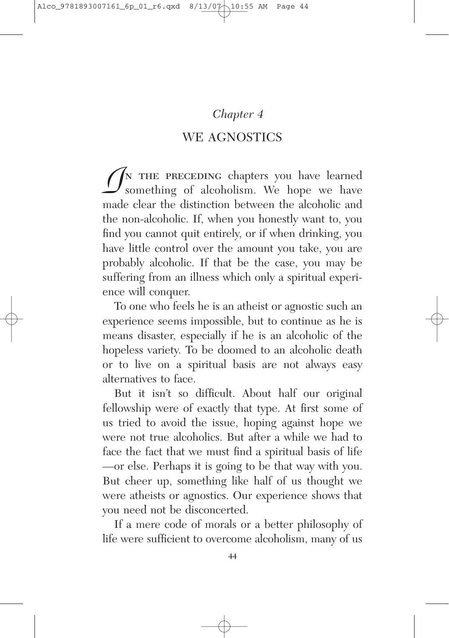## *Chapter 4*

## WE AGNOSTICS

 $\bigcap$ <sup>N</sup> THE PRECEDING chapters you have learned something of alcoholism. We hope we have made clear the distinction between the alcoholic and the non-alcoholic. If, when you honestly want to, you find you cannot quit entirely, or if when drinking, you have little control over the amount you take, you are probably alcoholic. If that be the case, you may be suffering from an illness which only a spiritual experience will conquer.

To one who feels he is an atheist or agnostic such an experience seems impossible, but to continue as he is means disaster, especially if he is an alcoholic of the hopeless variety. To be doomed to an alcoholic death or to live on a spiritual basis are not always easy alternatives to face.

But it isn't so difficult. About half our original fellowship were of exactly that type. At first some of us tried to avoid the issue, hoping against hope we were not true alcoholics. But after a while we had to face the fact that we must find a spiritual basis of life —or else. Perhaps it is going to be that way with you. But cheer up, something like half of us thought we were atheists or agnostics. Our experience shows that you need not be disconcerted.

If a mere code of morals or a better philosophy of life were sufficient to overcome alcoholism, many of us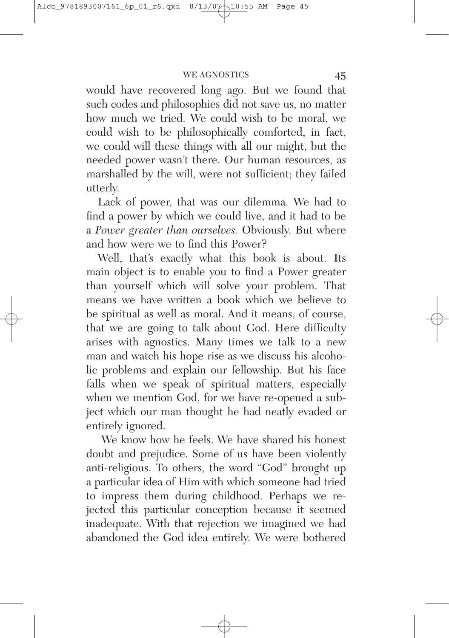would have recovered long ago. But we found that such codes and philosophies did not save us, no matter how much we tried. We could wish to be moral, we could wish to be philosophically comforted, in fact, we could will these things with all our might, but the needed power wasn't there. Our human resources, as marshalled by the will, were not sufficient; they failed utterly.

Lack of power, that was our dilemma. We had to find a power by which we could live, and it had to be a *Power greater than ourselves.* Obviously. But where and how were we to find this Power?

Well, that's exactly what this book is about. Its main object is to enable you to find a Power greater than yourself which will solve your problem. That means we have written a book which we believe to be spiritual as well as moral. And it means, of course, that we are going to talk about God. Here difficulty arises with agnostics. Many times we talk to a new man and watch his hope rise as we discuss his alcoholic problems and explain our fellowship. But his face falls when we speak of spiritual matters, especially when we mention God, for we have re-opened a subject which our man thought he had neatly evaded or entirely ignored.

We know how he feels. We have shared his honest doubt and prejudice. Some of us have been violently anti-religious. To others, the word "God'' brought up a particular idea of Him with which someone had tried to impress them during childhood. Perhaps we rejected this particular conception because it seemed inadequate. With that rejection we imagined we had abandoned the God idea entirely. We were bothered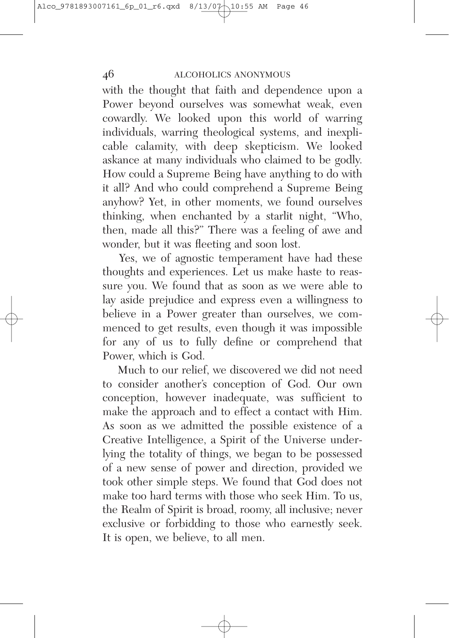with the thought that faith and dependence upon a Power beyond ourselves was somewhat weak, even cowardly. We looked upon this world of warring individuals, warring theological systems, and inexplicable calamity, with deep skepticism. We looked askance at many individuals who claimed to be godly. How could a Supreme Being have anything to do with it all? And who could comprehend a Supreme Being anyhow? Yet, in other moments, we found ourselves thinking, when enchanted by a starlit night, "Who, then, made all this?'' There was a feeling of awe and wonder, but it was fleeting and soon lost.

Yes, we of agnostic temperament have had these thoughts and experiences. Let us make haste to reassure you. We found that as soon as we were able to lay aside prejudice and express even a willingness to believe in a Power greater than ourselves, we commenced to get results, even though it was impossible for any of us to fully define or comprehend that Power, which is God.

Much to our relief, we discovered we did not need to consider another's conception of God. Our own conception, however inadequate, was sufficient to make the approach and to effect a contact with Him. As soon as we admitted the possible existence of a Creative Intelligence, a Spirit of the Universe underlying the totality of things, we began to be possessed of a new sense of power and direction, provided we took other simple steps. We found that God does not make too hard terms with those who seek Him. To us, the Realm of Spirit is broad, roomy, all inclusive; never exclusive or forbidding to those who earnestly seek. It is open, we believe, to all men.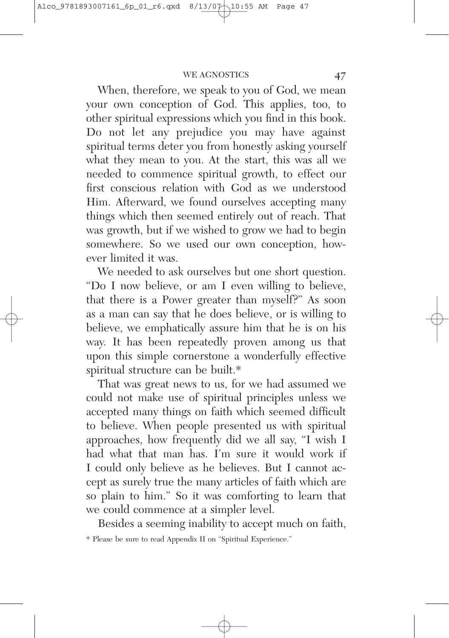When, therefore, we speak to you of God, we mean your own conception of God. This applies, too, to other spiritual expressions which you find in this book. Do not let any prejudice you may have against spiritual terms deter you from honestly asking yourself what they mean to you. At the start, this was all we needed to commence spiritual growth, to effect our first conscious relation with God as we understood Him. Afterward, we found ourselves accepting many things which then seemed entirely out of reach. That was growth, but if we wished to grow we had to begin somewhere. So we used our own conception, however limited it was.

We needed to ask ourselves but one short question. "Do I now believe, or am I even willing to believe, that there is a Power greater than myself?'' As soon as a man can say that he does believe, or is willing to believe, we emphatically assure him that he is on his way. It has been repeatedly proven among us that upon this simple cornerstone a wonderfully effective spiritual structure can be built.\*

That was great news to us, for we had assumed we could not make use of spiritual principles unless we accepted many things on faith which seemed difficult to believe. When people presented us with spiritual approaches, how frequently did we all say, "I wish I had what that man has. I'm sure it would work if I could only believe as he believes. But I cannot accept as surely true the many articles of faith which are so plain to him.'' So it was comforting to learn that we could commence at a simpler level.

Besides a seeming inability to accept much on faith,

<sup>\*</sup> Please be sure to read Appendix II on "Spiritual Experience."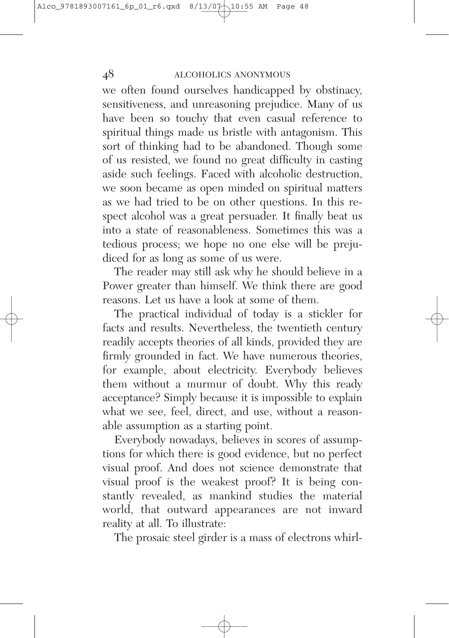we often found ourselves handicapped by obstinacy, sensitiveness, and unreasoning prejudice. Many of us have been so touchy that even casual reference to spiritual things made us bristle with antagonism. This sort of thinking had to be abandoned. Though some of us resisted, we found no great difficulty in casting aside such feelings. Faced with alcoholic destruction, we soon became as open minded on spiritual matters as we had tried to be on other questions. In this respect alcohol was a great persuader. It finally beat us into a state of reasonableness. Sometimes this was a tedious process; we hope no one else will be prejudiced for as long as some of us were.

The reader may still ask why he should believe in a Power greater than himself. We think there are good reasons. Let us have a look at some of them.

The practical individual of today is a stickler for facts and results. Nevertheless, the twentieth century readily accepts theories of all kinds, provided they are firmly grounded in fact. We have numerous theories, for example, about electricity. Everybody believes them without a murmur of doubt. Why this ready acceptance? Simply because it is impossible to explain what we see, feel, direct, and use, without a reasonable assumption as a starting point.

Everybody nowadays, believes in scores of assumptions for which there is good evidence, but no perfect visual proof. And does not science demonstrate that visual proof is the weakest proof? It is being constantly revealed, as mankind studies the material world, that outward appearances are not inward reality at all. To illustrate:

The prosaic steel girder is a mass of electrons whirl-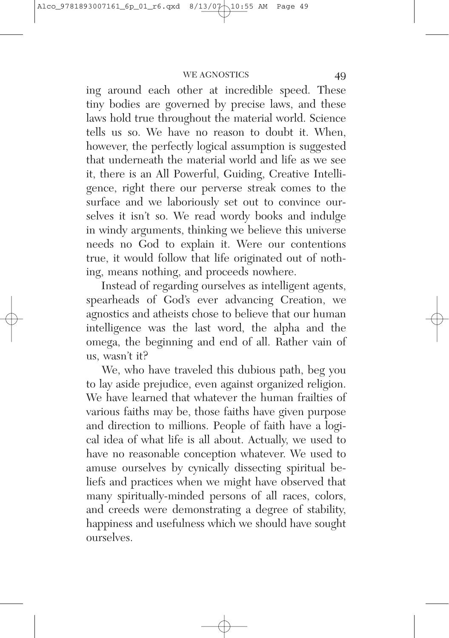ing around each other at incredible speed. These tiny bodies are governed by precise laws, and these laws hold true throughout the material world. Science tells us so. We have no reason to doubt it. When, however, the perfectly logical assumption is suggested that underneath the material world and life as we see it, there is an All Powerful, Guiding, Creative Intelligence, right there our perverse streak comes to the surface and we laboriously set out to convince ourselves it isn't so. We read wordy books and indulge in windy arguments, thinking we believe this universe needs no God to explain it. Were our contentions true, it would follow that life originated out of nothing, means nothing, and proceeds nowhere.

Instead of regarding ourselves as intelligent agents, spearheads of God's ever advancing Creation, we agnostics and atheists chose to believe that our human intelligence was the last word, the alpha and the omega, the beginning and end of all. Rather vain of us, wasn't it?

We, who have traveled this dubious path, beg you to lay aside prejudice, even against organized religion. We have learned that whatever the human frailties of various faiths may be, those faiths have given purpose and direction to millions. People of faith have a logical idea of what life is all about. Actually, we used to have no reasonable conception whatever. We used to amuse ourselves by cynically dissecting spiritual beliefs and practices when we might have observed that many spiritually-minded persons of all races, colors, and creeds were demonstrating a degree of stability, happiness and usefulness which we should have sought ourselves.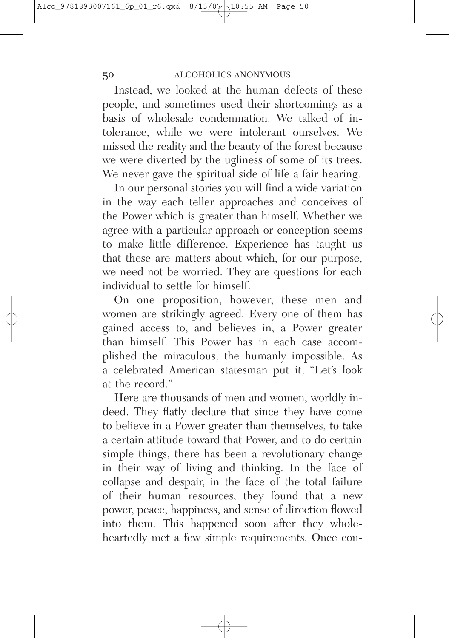Instead, we looked at the human defects of these people, and sometimes used their shortcomings as a basis of wholesale condemnation. We talked of intolerance, while we were intolerant ourselves. We missed the reality and the beauty of the forest because we were diverted by the ugliness of some of its trees. We never gave the spiritual side of life a fair hearing.

In our personal stories you will find a wide variation in the way each teller approaches and conceives of the Power which is greater than himself. Whether we agree with a particular approach or conception seems to make little difference. Experience has taught us that these are matters about which, for our purpose, we need not be worried. They are questions for each individual to settle for himself.

On one proposition, however, these men and women are strikingly agreed. Every one of them has gained access to, and believes in, a Power greater than himself. This Power has in each case accomplished the miraculous, the humanly impossible. As a celebrated American statesman put it, "Let's look at the record.''

Here are thousands of men and women, worldly indeed. They flatly declare that since they have come to believe in a Power greater than themselves, to take a certain attitude toward that Power, and to do certain simple things, there has been a revolutionary change in their way of living and thinking. In the face of collapse and despair, in the face of the total failure of their human resources, they found that a new power, peace, happiness, and sense of direction flowed into them. This happened soon after they wholeheartedly met a few simple requirements. Once con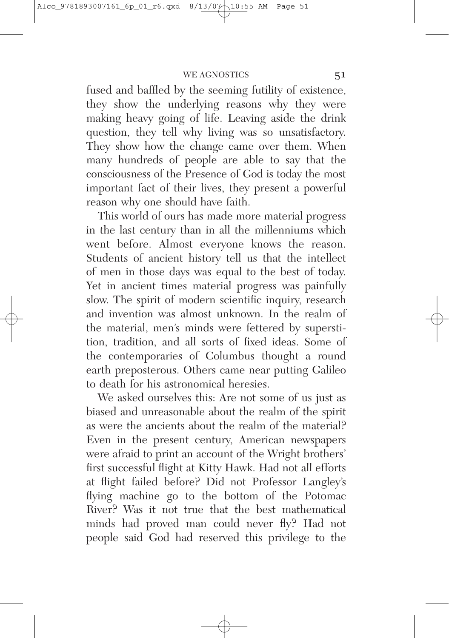fused and baffled by the seeming futility of existence, they show the underlying reasons why they were making heavy going of life. Leaving aside the drink question, they tell why living was so unsatisfactory. They show how the change came over them. When many hundreds of people are able to say that the consciousness of the Presence of God is today the most important fact of their lives, they present a powerful reason why one should have faith.

This world of ours has made more material progress in the last century than in all the millenniums which went before. Almost everyone knows the reason. Students of ancient history tell us that the intellect of men in those days was equal to the best of today. Yet in ancient times material progress was painfully slow. The spirit of modern scientific inquiry, research and invention was almost unknown. In the realm of the material, men's minds were fettered by superstition, tradition, and all sorts of fixed ideas. Some of the contemporaries of Columbus thought a round earth preposterous. Others came near putting Galileo to death for his astronomical heresies.

We asked ourselves this: Are not some of us just as biased and unreasonable about the realm of the spirit as were the ancients about the realm of the material? Even in the present century, American newspapers were afraid to print an account of the Wright brothers' first successful flight at Kitty Hawk. Had not all efforts at flight failed before? Did not Professor Langley's flying machine go to the bottom of the Potomac River? Was it not true that the best mathematical minds had proved man could never fly? Had not people said God had reserved this privilege to the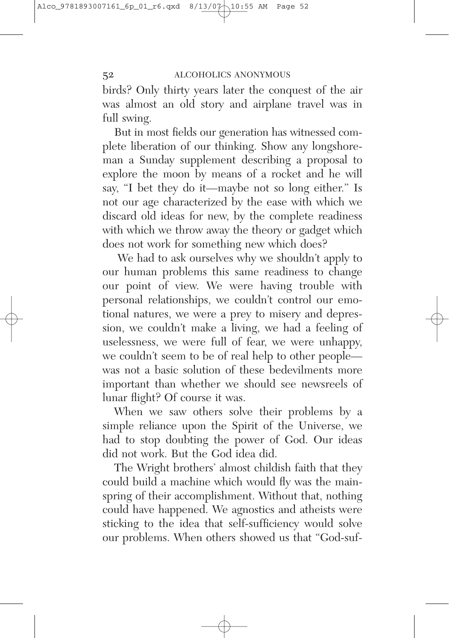birds? Only thirty years later the conquest of the air was almost an old story and airplane travel was in full swing.

But in most fields our generation has witnessed complete liberation of our thinking. Show any longshoreman a Sunday supplement describing a proposal to explore the moon by means of a rocket and he will say, "I bet they do it—maybe not so long either.'' Is not our age characterized by the ease with which we discard old ideas for new, by the complete readiness with which we throw away the theory or gadget which does not work for something new which does?

We had to ask ourselves why we shouldn't apply to our human problems this same readiness to change our point of view. We were having trouble with personal relationships, we couldn't control our emotional natures, we were a prey to misery and depression, we couldn't make a living, we had a feeling of uselessness, we were full of fear, we were unhappy, we couldn't seem to be of real help to other people was not a basic solution of these bedevilments more important than whether we should see newsreels of lunar flight? Of course it was.

When we saw others solve their problems by a simple reliance upon the Spirit of the Universe, we had to stop doubting the power of God. Our ideas did not work. But the God idea did.

The Wright brothers' almost childish faith that they could build a machine which would fly was the mainspring of their accomplishment. Without that, nothing could have happened. We agnostics and atheists were sticking to the idea that self-sufficiency would solve our problems. When others showed us that "God-suf-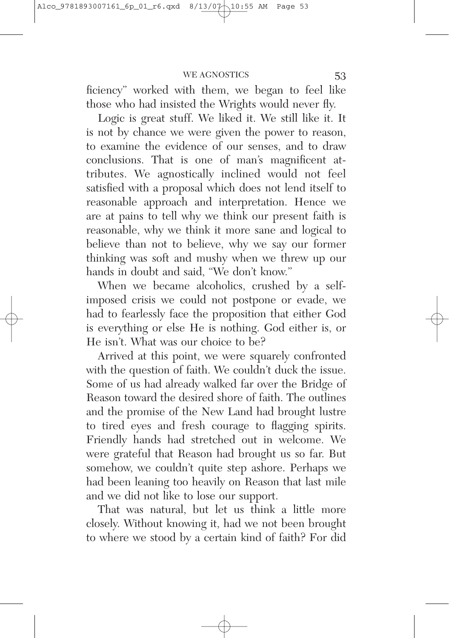ficiency'' worked with them, we began to feel like those who had insisted the Wrights would never fly.

Logic is great stuff. We liked it. We still like it. It is not by chance we were given the power to reason, to examine the evidence of our senses, and to draw conclusions. That is one of man's magnificent attributes. We agnostically inclined would not feel satisfied with a proposal which does not lend itself to reasonable approach and interpretation. Hence we are at pains to tell why we think our present faith is reasonable, why we think it more sane and logical to believe than not to believe, why we say our former thinking was soft and mushy when we threw up our hands in doubt and said. "We don't know."

When we became alcoholics, crushed by a selfimposed crisis we could not postpone or evade, we had to fearlessly face the proposition that either God is everything or else He is nothing. God either is, or He isn't. What was our choice to be?

Arrived at this point, we were squarely confronted with the question of faith. We couldn't duck the issue. Some of us had already walked far over the Bridge of Reason toward the desired shore of faith. The outlines and the promise of the New Land had brought lustre to tired eyes and fresh courage to flagging spirits. Friendly hands had stretched out in welcome. We were grateful that Reason had brought us so far. But somehow, we couldn't quite step ashore. Perhaps we had been leaning too heavily on Reason that last mile and we did not like to lose our support.

That was natural, but let us think a little more closely. Without knowing it, had we not been brought to where we stood by a certain kind of faith? For did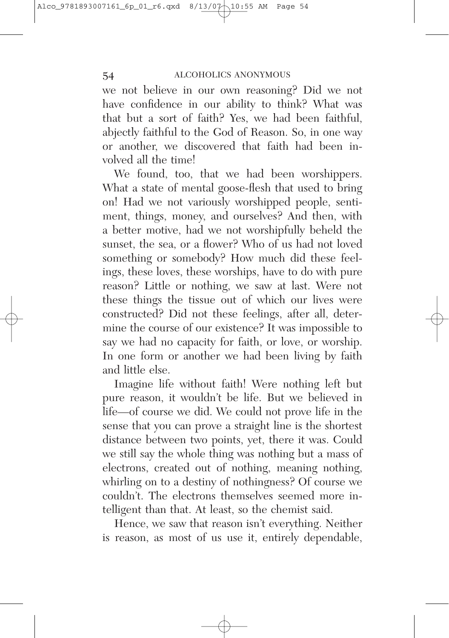we not believe in our own reasoning? Did we not have confidence in our ability to think? What was that but a sort of faith? Yes, we had been faithful, abjectly faithful to the God of Reason. So, in one way or another, we discovered that faith had been involved all the time!

We found, too, that we had been worshippers. What a state of mental goose-flesh that used to bring on! Had we not variously worshipped people, sentiment, things, money, and ourselves? And then, with a better motive, had we not worshipfully beheld the sunset, the sea, or a flower? Who of us had not loved something or somebody? How much did these feelings, these loves, these worships, have to do with pure reason? Little or nothing, we saw at last. Were not these things the tissue out of which our lives were constructed? Did not these feelings, after all, determine the course of our existence? It was impossible to say we had no capacity for faith, or love, or worship. In one form or another we had been living by faith and little else.

Imagine life without faith! Were nothing left but pure reason, it wouldn't be life. But we believed in life—of course we did. We could not prove life in the sense that you can prove a straight line is the shortest distance between two points, yet, there it was. Could we still say the whole thing was nothing but a mass of electrons, created out of nothing, meaning nothing, whirling on to a destiny of nothingness? Of course we couldn't. The electrons themselves seemed more intelligent than that. At least, so the chemist said.

Hence, we saw that reason isn't everything. Neither is reason, as most of us use it, entirely dependable,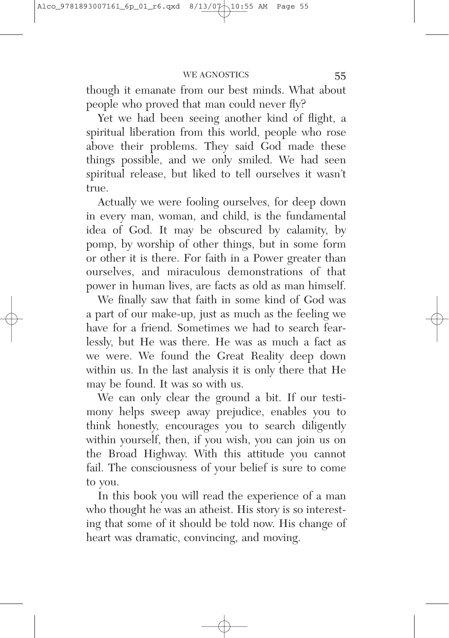though it emanate from our best minds. What about people who proved that man could never fly?

Yet we had been seeing another kind of flight, a spiritual liberation from this world, people who rose above their problems. They said God made these things possible, and we only smiled. We had seen spiritual release, but liked to tell ourselves it wasn't true.

Actually we were fooling ourselves, for deep down in every man, woman, and child, is the fundamental idea of God. It may be obscured by calamity, by pomp, by worship of other things, but in some form or other it is there. For faith in a Power greater than ourselves, and miraculous demonstrations of that power in human lives, are facts as old as man himself.

We finally saw that faith in some kind of God was a part of our make-up, just as much as the feeling we have for a friend. Sometimes we had to search fearlessly, but He was there. He was as much a fact as we were. We found the Great Reality deep down within us. In the last analysis it is only there that He may be found. It was so with us.

We can only clear the ground a bit. If our testimony helps sweep away prejudice, enables you to think honestly, encourages you to search diligently within yourself, then, if you wish, you can join us on the Broad Highway. With this attitude you cannot fail. The consciousness of your belief is sure to come to you.

In this book you will read the experience of a man who thought he was an atheist. His story is so interesting that some of it should be told now. His change of heart was dramatic, convincing, and moving.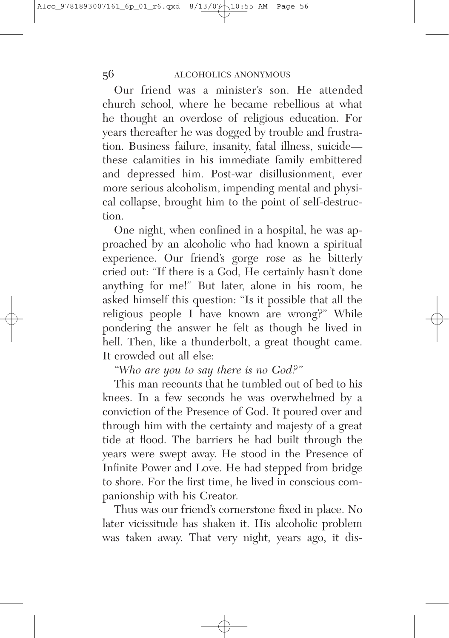Our friend was a minister's son. He attended church school, where he became rebellious at what he thought an overdose of religious education. For years thereafter he was dogged by trouble and frustration. Business failure, insanity, fatal illness, suicide these calamities in his immediate family embittered and depressed him. Post-war disillusionment, ever more serious alcoholism, impending mental and physical collapse, brought him to the point of self-destruction.

One night, when confined in a hospital, he was approached by an alcoholic who had known a spiritual experience. Our friend's gorge rose as he bitterly cried out: "If there is a God, He certainly hasn't done anything for me!'' But later, alone in his room, he asked himself this question: "Is it possible that all the religious people I have known are wrong?'' While pondering the answer he felt as though he lived in hell. Then, like a thunderbolt, a great thought came. It crowded out all else:

*"Who are you to say there is no God?''*

This man recounts that he tumbled out of bed to his knees. In a few seconds he was overwhelmed by a conviction of the Presence of God. It poured over and through him with the certainty and majesty of a great tide at flood. The barriers he had built through the years were swept away. He stood in the Presence of Infinite Power and Love. He had stepped from bridge to shore. For the first time, he lived in conscious companionship with his Creator.

Thus was our friend's cornerstone fixed in place. No later vicissitude has shaken it. His alcoholic problem was taken away. That very night, years ago, it dis-